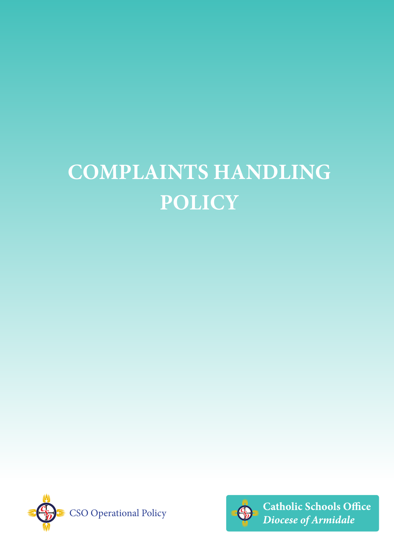# **COMPLAINTS HANDLING POLICY**





**Catholic Schools Office** Diocese of Armidale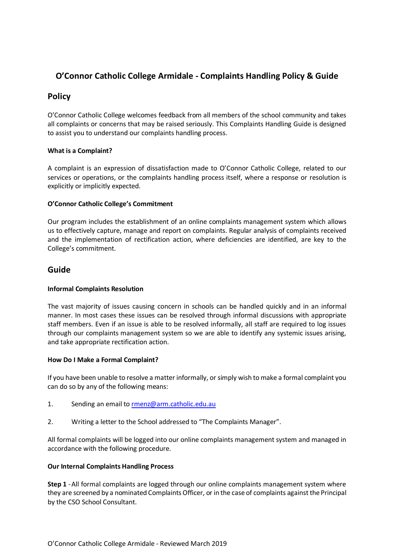# **O'Connor Catholic College Armidale - Complaints Handling Policy & Guide**

# **Policy**

O'Connor Catholic College welcomes feedback from all members of the school community and takes all complaints or concerns that may be raised seriously. This Complaints Handling Guide is designed to assist you to understand our complaints handling process.

#### **What is a Complaint?**

A complaint is an expression of dissatisfaction made to O'Connor Catholic College, related to our services or operations, or the complaints handling process itself, where a response or resolution is explicitly or implicitly expected.

#### **O'Connor Catholic College's Commitment**

Our program includes the establishment of an online complaints management system which allows us to effectively capture, manage and report on complaints. Regular analysis of complaints received and the implementation of rectification action, where deficiencies are identified, are key to the College's commitment.

# **Guide**

## **Informal Complaints Resolution**

The vast majority of issues causing concern in schools can be handled quickly and in an informal manner. In most cases these issues can be resolved through informal discussions with appropriate staff members. Even if an issue is able to be resolved informally, all staff are required to log issues through our complaints management system so we are able to identify any systemic issues arising, and take appropriate rectification action.

#### **How Do I Make a Formal Complaint?**

If you have been unable to resolve a matter informally, or simply wish to make a formal complaint you can do so by any of the following means:

- 1. Sending an email t[o rmenz@arm.catholic.edu.au](mailto:rmenz@arm.catholic.edu.au)
- 2. Writing a letter to the School addressed to "The Complaints Manager".

All formal complaints will be logged into our online complaints management system and managed in accordance with the following procedure.

## **Our Internal Complaints Handling Process**

**Step 1** -All formal complaints are logged through our online complaints management system where they are screened by a nominated Complaints Officer, or in the case of complaints against the Principal by the CSO School Consultant.